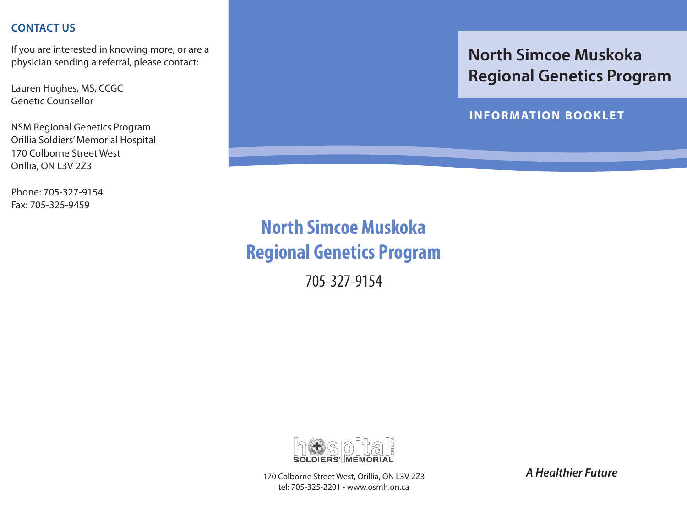#### **contact us**

If you are interested in knowing more, or are a physician sending a referral, please contact:

Lauren Hughes, MS, CCGC Genetic Counsellor

NSM Regional Genetics Program Orillia Soldiers' Memorial Hospital 170 Colborne Street West Orillia, ON L3V 2Z3

Phone: 705-327-9154 Fax: 705-325-9459

## **North Simcoe Muskoka Regional Genetics Program**

**INFORMATION BOOKLET**

# **North Simcoe Muskoka Regional Genetics Program**

705-327-9154



170 Colborne Street West, Orillia, ON L3V 2Z3 tel: 705-325-2201 • www.osmh.on.ca

*A Healthier Future*